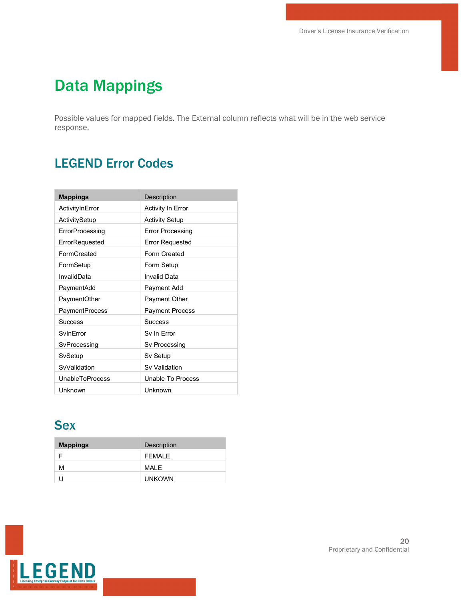# Data Mappings

Possible values for mapped fields. The External column reflects what will be in the web service response.

## LEGEND Error Codes

| <b>Mappings</b>        | Description              |
|------------------------|--------------------------|
| ActivityInError        | <b>Activity In Error</b> |
| ActivitySetup          | <b>Activity Setup</b>    |
| ErrorProcessing        | <b>Error Processing</b>  |
| ErrorRequested         | <b>Error Requested</b>   |
| FormCreated            | Form Created             |
| FormSetup              | Form Setup               |
| InvalidData            | Invalid Data             |
| PaymentAdd             | Payment Add              |
| PaymentOther           | <b>Payment Other</b>     |
| <b>PaymentProcess</b>  | <b>Payment Process</b>   |
| Success                | Success                  |
| SvinFrror              | Sv In Error              |
| SvProcessing           | Sv Processing            |
| SvSetup                | Sv Setup                 |
| SvValidation           | Sv Validation            |
| <b>UnableToProcess</b> | Unable To Process        |
| Unknown                | Unknown                  |

#### **Sex**

| <b>Mappings</b> | <b>Description</b> |
|-----------------|--------------------|
|                 | FFMAI F            |
| м               | MAI F              |
|                 | <b>UNKOWN</b>      |

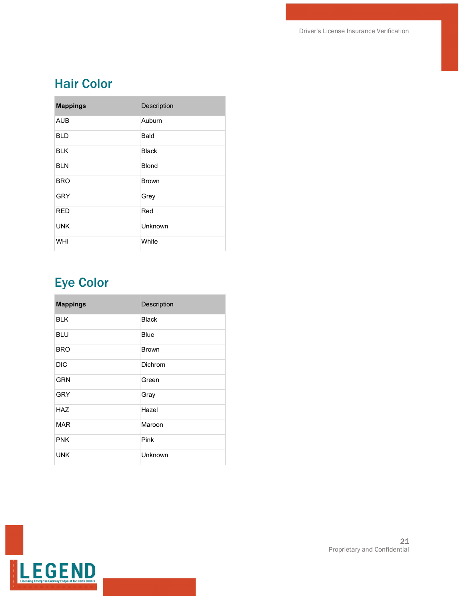### Hair Color

| <b>Mappings</b> | Description  |
|-----------------|--------------|
| <b>AUB</b>      | Auburn       |
| <b>BLD</b>      | Bald         |
| <b>BLK</b>      | <b>Black</b> |
| <b>BLN</b>      | <b>Blond</b> |
| <b>BRO</b>      | <b>Brown</b> |
| <b>GRY</b>      | Grey         |
| <b>RED</b>      | Red          |
| <b>UNK</b>      | Unknown      |
| WHI             | White        |

# Eye Color

| <b>Mappings</b> | Description  |
|-----------------|--------------|
| <b>BLK</b>      | <b>Black</b> |
| <b>BLU</b>      | Blue         |
| <b>BRO</b>      | <b>Brown</b> |
| <b>DIC</b>      | Dichrom      |
| <b>GRN</b>      | Green        |
| <b>GRY</b>      | Gray         |
| <b>HAZ</b>      | Hazel        |
| <b>MAR</b>      | Maroon       |
| <b>PNK</b>      | Pink         |
| <b>UNK</b>      | Unknown      |

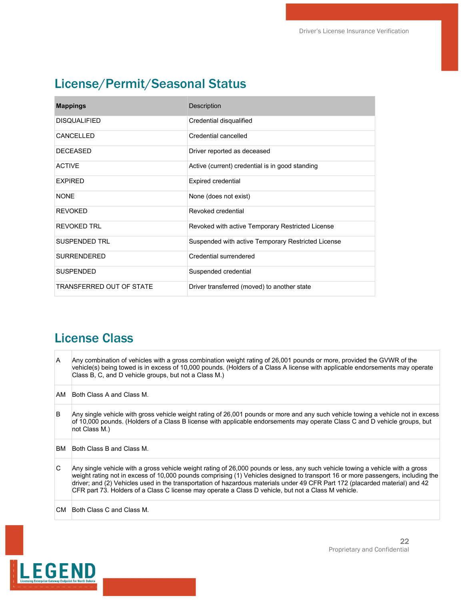## License/Permit/Seasonal Status

| <b>Mappings</b>          | <b>Description</b>                                 |
|--------------------------|----------------------------------------------------|
| <b>DISQUALIFIED</b>      | Credential disqualified                            |
| CANCELLED                | Credential cancelled                               |
| <b>DECEASED</b>          | Driver reported as deceased                        |
| <b>ACTIVE</b>            | Active (current) credential is in good standing    |
| <b>EXPIRED</b>           | <b>Expired credential</b>                          |
| <b>NONE</b>              | None (does not exist)                              |
| <b>REVOKED</b>           | Revoked credential                                 |
| REVOKED TRI              | Revoked with active Temporary Restricted License   |
| SUSPENDED TRI            | Suspended with active Temporary Restricted License |
| <b>SURRENDERED</b>       | Credential surrendered                             |
| <b>SUSPENDED</b>         | Suspended credential                               |
| TRANSFERRED OUT OF STATE | Driver transferred (moved) to another state        |

#### License Class

| lA.  | Any combination of vehicles with a gross combination weight rating of 26,001 pounds or more, provided the GVWR of the<br>vehicle(s) being towed is in excess of 10,000 pounds. (Holders of a Class A license with applicable endorsements may operate<br>Class B, C, and D vehicle groups, but not a Class M.)                                                                                                                                                                                           |
|------|----------------------------------------------------------------------------------------------------------------------------------------------------------------------------------------------------------------------------------------------------------------------------------------------------------------------------------------------------------------------------------------------------------------------------------------------------------------------------------------------------------|
| AM   | Both Class A and Class M.                                                                                                                                                                                                                                                                                                                                                                                                                                                                                |
| B    | Any single vehicle with gross vehicle weight rating of 26,001 pounds or more and any such vehicle towing a vehicle not in excess<br>of 10,000 pounds. (Holders of a Class B license with applicable endorsements may operate Class C and D vehicle groups, but<br>not Class M.)                                                                                                                                                                                                                          |
| BM   | Both Class B and Class M.                                                                                                                                                                                                                                                                                                                                                                                                                                                                                |
| IC.  | Any single vehicle with a gross vehicle weight rating of 26,000 pounds or less, any such vehicle towing a vehicle with a gross<br>weight rating not in excess of 10,000 pounds comprising (1) Vehicles designed to transport 16 or more passengers, including the<br>driver; and (2) Vehicles used in the transportation of hazardous materials under 49 CFR Part 172 (placarded material) and 42<br>CFR part 73. Holders of a Class C license may operate a Class D vehicle, but not a Class M vehicle. |
| CM . | Both Class C and Class M.                                                                                                                                                                                                                                                                                                                                                                                                                                                                                |

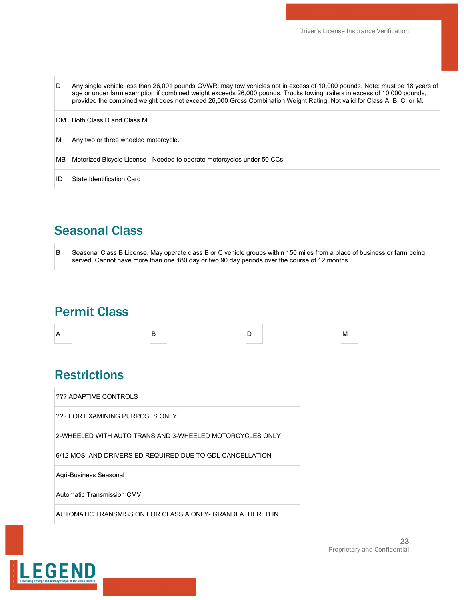| D   | Any single vehicle less than 26,001 pounds GVWR; may tow vehicles not in excess of 10,000 pounds. Note: must be 18 years of<br>age or under farm exemption if combined weight exceeds 26,000 pounds. Trucks towing trailers in excess of 10,000 pounds,<br>provided the combined weight does not exceed 26,000 Gross Combination Weight Rating. Not valid for Class A, B, C, or M. |
|-----|------------------------------------------------------------------------------------------------------------------------------------------------------------------------------------------------------------------------------------------------------------------------------------------------------------------------------------------------------------------------------------|
| DM. | Both Class D and Class M.                                                                                                                                                                                                                                                                                                                                                          |
| м   | Any two or three wheeled motorcycle.                                                                                                                                                                                                                                                                                                                                               |
| MВ  | Motorized Bicycle License - Needed to operate motorcycles under 50 CCs                                                                                                                                                                                                                                                                                                             |
| ID  | State Identification Card                                                                                                                                                                                                                                                                                                                                                          |

## Seasonal Class

|  | Seasonal Class B License. May operate class B or C vehicle groups within 150 miles from a place of business or farm being |
|--|---------------------------------------------------------------------------------------------------------------------------|
|  | served. Cannot have more than one 180 day or two 90 day periods over the course of 12 months.                             |

#### Permit Class

| A | B | `n<br>◡ | M |  |
|---|---|---------|---|--|
|   |   |         |   |  |

#### **Restrictions**

| ??? ADAPTIVE CONTROLS                                      |
|------------------------------------------------------------|
| ??? FOR EXAMINING PURPOSES ONLY                            |
| 2-WHEFI FD WITH AUTO TRANS AND 3-WHEFI FD MOTORCYCLES ONLY |
| 6/12 MOS. AND DRIVERS ED REQUIRED DUE TO GDL CANCELLATION  |
| Agri-Business Seasonal                                     |
| Automatic Transmission CMV                                 |
| AUTOMATIC TRANSMISSION FOR CLASS A ONLY- GRANDFATHERED IN  |

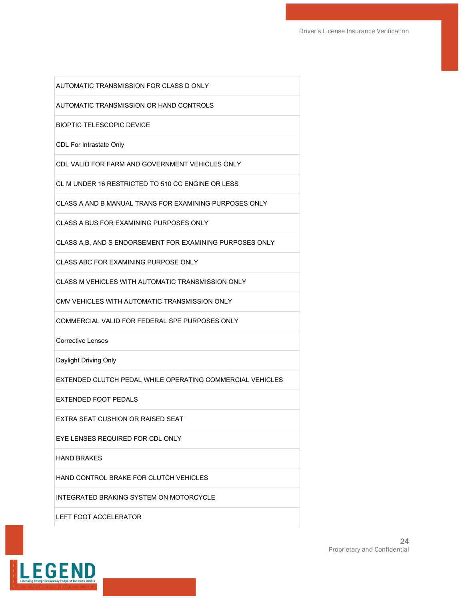AUTOMATIC TRANSMISSION FOR CLASS D ONLY

AUTOMATIC TRANSMISSION OR HAND CONTROLS

BIOPTIC TELESCOPIC DEVICE

CDL For Intrastate Only

CDL VALID FOR FARM AND GOVERNMENT VEHICLES ONLY

CL M UNDER 16 RESTRICTED TO 510 CC ENGINE OR LESS

CLASS A AND B MANUAL TRANS FOR EXAMINING PURPOSES ONLY

CLASS A BUS FOR EXAMINING PURPOSES ONLY

CLASS A,B, AND S ENDORSEMENT FOR EXAMINING PURPOSES ONLY

CLASS ABC FOR EXAMINING PURPOSE ONLY

CLASS M VEHICLES WITH AUTOMATIC TRANSMISSION ONLY

CMV VEHICLES WITH AUTOMATIC TRANSMISSION ONLY

COMMERCIAL VALID FOR FEDERAL SPE PURPOSES ONLY

Corrective Lenses

Daylight Driving Only

EXTENDED CLUTCH PEDAL WHILE OPERATING COMMERCIAL VEHICLES

EXTENDED FOOT PEDALS

EXTRA SEAT CUSHION OR RAISED SEAT

EYE LENSES REQUIRED FOR CDL ONLY

HAND BRAKES

HAND CONTROL BRAKE FOR CLUTCH VEHICLES

INTEGRATED BRAKING SYSTEM ON MOTORCYCLE

LEFT FOOT ACCELERATOR

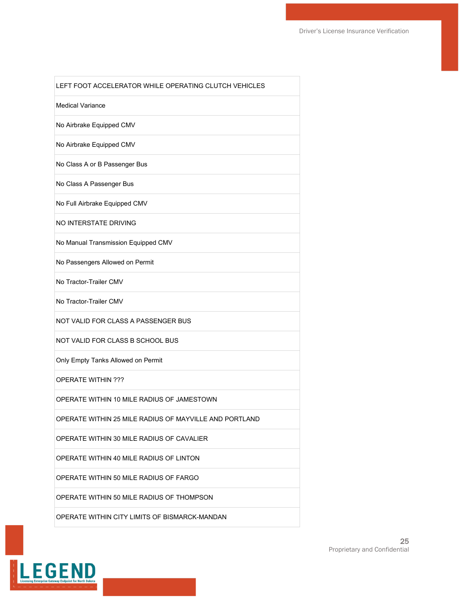| LEFT FOOT ACCELERATOR WHILE OPERATING CLUTCH VEHICLES  |
|--------------------------------------------------------|
| <b>Medical Variance</b>                                |
| No Airbrake Equipped CMV                               |
| No Airbrake Equipped CMV                               |
| No Class A or B Passenger Bus                          |
| No Class A Passenger Bus                               |
| No Full Airbrake Equipped CMV                          |
| NO INTERSTATE DRIVING                                  |
| No Manual Transmission Equipped CMV                    |
| No Passengers Allowed on Permit                        |
| No Tractor-Trailer CMV                                 |
| No Tractor-Trailer CMV                                 |
| NOT VALID FOR CLASS A PASSENGER BUS                    |
| NOT VALID FOR CLASS B SCHOOL BUS                       |
| Only Empty Tanks Allowed on Permit                     |
| <b>OPERATE WITHIN ???</b>                              |
| OPERATE WITHIN 10 MILE RADIUS OF JAMESTOWN             |
| OPERATE WITHIN 25 MILE RADIUS OF MAYVILLE AND PORTLAND |
| OPERATE WITHIN 30 MILE RADIUS OF CAVALIER              |
| OPERATE WITHIN 40 MILE RADIUS OF LINTON                |
| OPERATE WITHIN 50 MILE RADIUS OF FARGO                 |
| OPERATE WITHIN 50 MILE RADIUS OF THOMPSON              |
| <b>OPERATE WITHIN CITY LIMITS OF BISMARCK-MANDAN</b>   |



ľ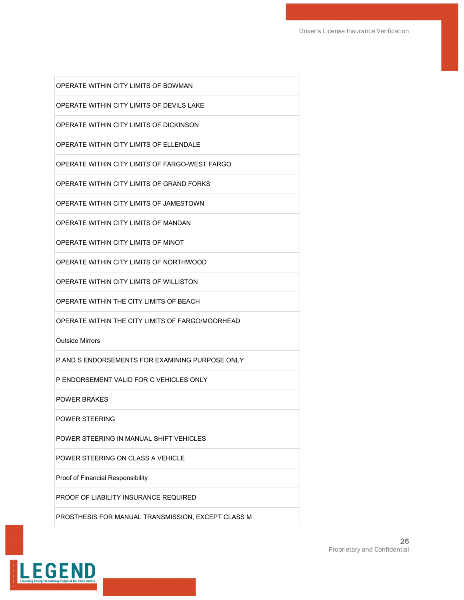| OPERATE WITHIN CITY LIMITS OF BOWMAN               |
|----------------------------------------------------|
| OPERATE WITHIN CITY LIMITS OF DEVILS LAKE          |
| OPERATE WITHIN CITY LIMITS OF DICKINSON            |
| OPERATE WITHIN CITY LIMITS OF ELLENDALE            |
| OPERATE WITHIN CITY LIMITS OF FARGO-WEST FARGO     |
| OPERATE WITHIN CITY LIMITS OF GRAND FORKS          |
| OPERATE WITHIN CITY LIMITS OF JAMESTOWN            |
| OPERATE WITHIN CITY LIMITS OF MANDAN               |
| OPERATE WITHIN CITY LIMITS OF MINOT                |
| OPERATE WITHIN CITY LIMITS OF NORTHWOOD            |
| OPERATE WITHIN CITY LIMITS OF WILLISTON            |
| OPERATE WITHIN THE CITY LIMITS OF BEACH            |
| OPERATE WITHIN THE CITY LIMITS OF FARGO/MOORHEAD   |
| <b>Outside Mirrors</b>                             |
| P AND S ENDORSEMENTS FOR EXAMINING PURPOSE ONLY    |
| P ENDORSEMENT VALID FOR C VEHICLES ONLY            |
| <b>POWER BRAKES</b>                                |
| POWER STEERING                                     |
| POWER STEERING IN MANUAL SHIFT VEHICLES            |
| POWER STEERING ON CLASS A VEHICLE                  |
| Proof of Financial Responsibility                  |
| PROOF OF LIABILITY INSURANCE REQUIRED              |
| PROSTHESIS FOR MANUAL TRANSMISSION, EXCEPT CLASS M |

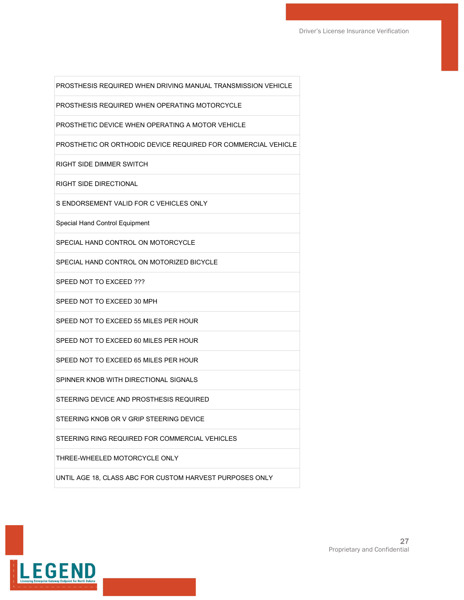PROSTHESIS REQUIRED WHEN DRIVING MANUAL TRANSMISSION VEHICLE

PROSTHESIS REQUIRED WHEN OPERATING MOTORCYCLE

PROSTHETIC DEVICE WHEN OPERATING A MOTOR VEHICLE

PROSTHETIC OR ORTHODIC DEVICE REQUIRED FOR COMMERCIAL VEHICLE

RIGHT SIDE DIMMER SWITCH

RIGHT SIDE DIRECTIONAL

S ENDORSEMENT VALID FOR C VEHICLES ONLY

Special Hand Control Equipment

SPECIAL HAND CONTROL ON MOTORCYCLE

SPECIAL HAND CONTROL ON MOTORIZED BICYCLE

SPEED NOT TO EXCEED ???

SPEED NOT TO EXCEED 30 MPH

SPEED NOT TO EXCEED 55 MILES PER HOUR

SPEED NOT TO EXCEED 60 MILES PER HOUR

SPEED NOT TO EXCEED 65 MILES PER HOUR

SPINNER KNOB WITH DIRECTIONAL SIGNALS

STEERING DEVICE AND PROSTHESIS REQUIRED

STEERING KNOB OR V GRIP STEERING DEVICE

STEERING RING REQUIRED FOR COMMERCIAL VEHICLES

THREE-WHEELED MOTORCYCLE ONLY

UNTIL AGE 18, CLASS ABC FOR CUSTOM HARVEST PURPOSES ONLY

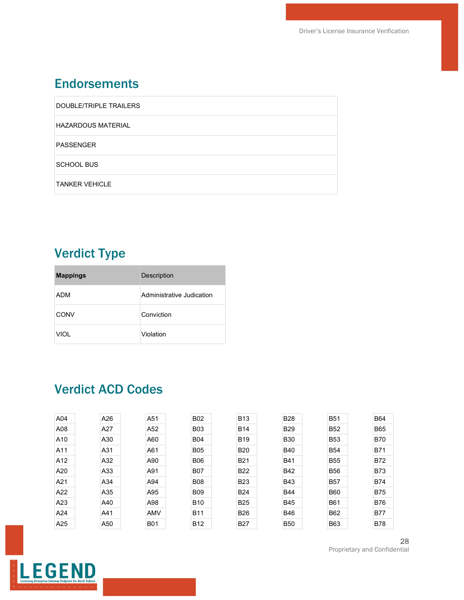#### **Endorsements**

| DOUBLE/TRIPLE TRAILERS    |
|---------------------------|
| <b>HAZARDOUS MATERIAL</b> |
| PASSENGER                 |
| <b>SCHOOL BUS</b>         |
| <b>TANKER VEHICLE</b>     |

# Verdict Type

| <b>Mappings</b> | Description               |
|-----------------|---------------------------|
| ADM             | Administrative Judication |
| CONV            | Conviction                |
| <b>VIOL</b>     | Violation                 |

#### Verdict ACD Codes

| A04 | A26 |  | A51        | <b>B02</b> | <b>B13</b> | <b>B28</b> | <b>B51</b> | <b>B64</b> |  |
|-----|-----|--|------------|------------|------------|------------|------------|------------|--|
| A08 | A27 |  | A52        | <b>B03</b> | <b>B14</b> | <b>B29</b> | <b>B52</b> | <b>B65</b> |  |
| A10 | A30 |  | A60        | <b>B04</b> | <b>B19</b> | <b>B30</b> | <b>B53</b> | <b>B70</b> |  |
| A11 | A31 |  | A61        | <b>B05</b> | <b>B20</b> | <b>B40</b> | <b>B54</b> | <b>B71</b> |  |
| A12 | A32 |  | A90        | <b>B06</b> | <b>B21</b> | <b>B41</b> | <b>B55</b> | <b>B72</b> |  |
| A20 | A33 |  | A91        | <b>B07</b> | <b>B22</b> | <b>B42</b> | <b>B56</b> | <b>B73</b> |  |
| A21 | A34 |  | A94        | <b>B08</b> | <b>B23</b> | <b>B43</b> | <b>B57</b> | <b>B74</b> |  |
| A22 | A35 |  | A95        | <b>B09</b> | <b>B24</b> | <b>B44</b> | <b>B60</b> | <b>B75</b> |  |
| A23 | A40 |  | A98        | <b>B10</b> | <b>B25</b> | <b>B45</b> | <b>B61</b> | <b>B76</b> |  |
| A24 | A41 |  | <b>AMV</b> | <b>B11</b> | <b>B26</b> | <b>B46</b> | <b>B62</b> | <b>B77</b> |  |
| A25 | A50 |  | <b>B01</b> | <b>B12</b> | <b>B27</b> | <b>B50</b> | <b>B63</b> | <b>B78</b> |  |
|     |     |  |            |            |            |            |            |            |  |

28 Proprietary and Confidential

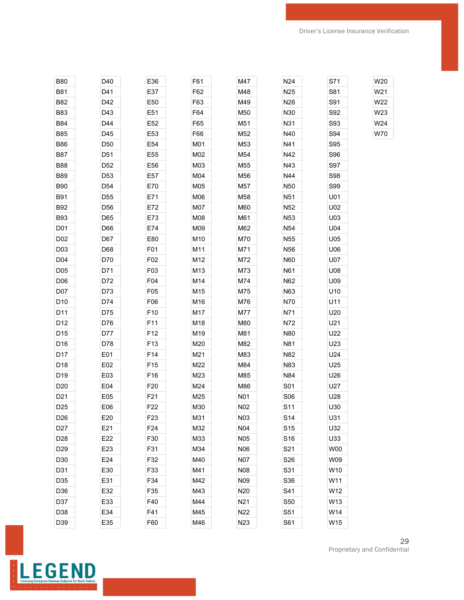| <b>B80</b>       | D40             | E36              | F61 | M47              | N24             | S71 | W20 |
|------------------|-----------------|------------------|-----|------------------|-----------------|-----|-----|
| <b>B81</b>       | D41             | E37              | F62 | M48              | N <sub>25</sub> | S81 | W21 |
| <b>B82</b>       | D42             | E50              | F63 | M49              | N <sub>26</sub> | S91 | W22 |
| <b>B83</b>       | D43             | E51              | F64 | M50              | N30             | S92 | W23 |
| <b>B84</b>       | D44             | E52              | F65 | M51              | N31             | S93 | W24 |
| <b>B85</b>       | D45             | E53              | F66 | M52              | N40             | S94 | W70 |
| <b>B86</b>       | D50             | E54              | M01 | M53              | N41             | S95 |     |
| B87              | D51             | E55              | M02 | M54              | N42             | S96 |     |
| <b>B88</b>       | D52             | E56              | M03 | M55              | N43             | S97 |     |
| <b>B89</b>       | D53             | E57              | M04 | M56              | N44             | S98 |     |
| <b>B90</b>       | D54             | E70              | M05 | M57              | N <sub>50</sub> | S99 |     |
| <b>B91</b>       | D55             | E71              | M06 | M58              | N51             | U01 |     |
| <b>B92</b>       | D56             | E72              | M07 | M60              | N <sub>52</sub> | U02 |     |
| <b>B93</b>       | D65             | E73              | M08 | M61              | N <sub>53</sub> | U03 |     |
| D01              | D66             | E74              | M09 | M62              | N <sub>54</sub> | U04 |     |
| D02              | D67             | E80              | M10 | M70              | N55             | U05 |     |
| D <sub>0</sub> 3 | D68             | F01              | M11 | M71              | N56             | U06 |     |
| D04              | D70             | F02              | M12 | M72              | N60             | U07 |     |
| D <sub>05</sub>  | D71             | F03              | M13 | M73              | N61             | U08 |     |
| D <sub>06</sub>  | D72             | F04              | M14 | M74              | N62             | U09 |     |
| D07              | D73             | F05              | M15 | M75              | N63             | U10 |     |
| D <sub>10</sub>  | D74             | F <sub>06</sub>  | M16 | M76              | N70             | U11 |     |
| D11              | D75             | F10              | M17 | M77              | N71             | U20 |     |
| D12              | D76             | F11              | M18 | M80              | N72             | U21 |     |
| D15              | D77             | F12              | M19 | M81              | N80             | U22 |     |
| D16              | D78             | F13              | M20 | M82              | N81             | U23 |     |
| D17              | E01             | F14              | M21 | M83              | N82             | U24 |     |
| D18              | E02             | F15              | M22 | M84              | N83             | U25 |     |
| D19              | E03             | F16              | M23 | M85              | N84             | U26 |     |
| D <sub>20</sub>  | E04             | F <sub>20</sub>  | M24 | M86              | S01             | U27 |     |
| D <sub>21</sub>  | E05             | F21              | M25 | N01              | S06             | U28 |     |
| D <sub>25</sub>  | E06             | F <sub>22</sub>  | M30 | N02              | S11             | U30 |     |
| D <sub>26</sub>  | E20             | F <sub>2</sub> 3 | M31 | N <sub>0</sub> 3 | S14             | U31 |     |
| D <sub>27</sub>  | E21             | F24              | M32 | N04              | S <sub>15</sub> | U32 |     |
| D <sub>28</sub>  | E22             | F30              | M33 | <b>N05</b>       | S16             | U33 |     |
| D <sub>29</sub>  | E <sub>23</sub> | F31              | M34 | <b>N06</b>       | S21             | W00 |     |
| D30              | E24             | F32              | M40 | <b>N07</b>       | S26             | W09 |     |
| D31              | E30             | F33              | M41 | N08              | S31             | W10 |     |
| D35              | E31             | F34              | M42 | N09              | S36             | W11 |     |
| D36              | E32             | F35              | M43 | N20              | S41             | W12 |     |
| D37              | E33             | F40              | M44 | N <sub>21</sub>  | S50             | W13 |     |
| D38              | E34             | F41              | M45 | N22              | S51             | W14 |     |
| D39              | E35             | F60              | M46 | N23              | S61             | W15 |     |



29 Proprietary and Confidential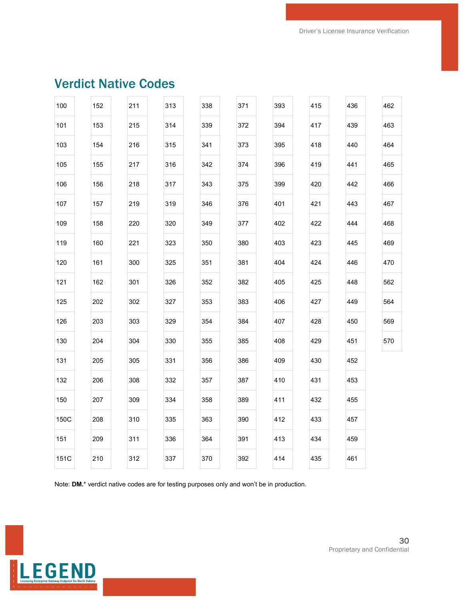| 100  | 152 | 211 | 313 | 338 | 371 | 393 | 415 | 436 | 462 |
|------|-----|-----|-----|-----|-----|-----|-----|-----|-----|
| 101  | 153 | 215 | 314 | 339 | 372 | 394 | 417 | 439 | 463 |
| 103  | 154 | 216 | 315 | 341 | 373 | 395 | 418 | 440 | 464 |
| 105  | 155 | 217 | 316 | 342 | 374 | 396 | 419 | 441 | 465 |
| 106  | 156 | 218 | 317 | 343 | 375 | 399 | 420 | 442 | 466 |
| 107  | 157 | 219 | 319 | 346 | 376 | 401 | 421 | 443 | 467 |
| 109  | 158 | 220 | 320 | 349 | 377 | 402 | 422 | 444 | 468 |
| 119  | 160 | 221 | 323 | 350 | 380 | 403 | 423 | 445 | 469 |
| 120  | 161 | 300 | 325 | 351 | 381 | 404 | 424 | 446 | 470 |
| 121  | 162 | 301 | 326 | 352 | 382 | 405 | 425 | 448 | 562 |
| 125  | 202 | 302 | 327 | 353 | 383 | 406 | 427 | 449 | 564 |
| 126  | 203 | 303 | 329 | 354 | 384 | 407 | 428 | 450 | 569 |
| 130  | 204 | 304 | 330 | 355 | 385 | 408 | 429 | 451 | 570 |
| 131  | 205 | 305 | 331 | 356 | 386 | 409 | 430 | 452 |     |
| 132  | 206 | 308 | 332 | 357 | 387 | 410 | 431 | 453 |     |
| 150  | 207 | 309 | 334 | 358 | 389 | 411 | 432 | 455 |     |
| 150C | 208 | 310 | 335 | 363 | 390 | 412 | 433 | 457 |     |
| 151  | 209 | 311 | 336 | 364 | 391 | 413 | 434 | 459 |     |
| 151C | 210 | 312 | 337 | 370 | 392 | 414 | 435 | 461 |     |
|      |     |     |     |     |     |     |     |     |     |

## Verdict Native Codes

Note: **DM.**\* verdict native codes are for testing purposes only and won't be in production.

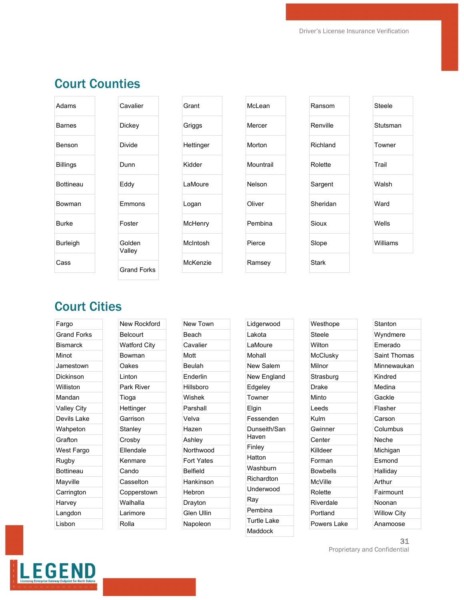#### Court Counties

**Cavalier** 

**Dickey** 

Divide

Dunn

Eddy

Emmons

Foster

Golden Valley

Grand Forks

| Adams            |  |
|------------------|--|
| <b>Barnes</b>    |  |
| Benson           |  |
| <b>Billings</b>  |  |
| <b>Bottineau</b> |  |
| Bowman           |  |
| <b>Burke</b>     |  |
| <b>Burleigh</b>  |  |
| Cass             |  |

| Grant     |
|-----------|
| Griggs    |
| Hettinger |
| Kidder    |
| LaMoure   |
| Logan     |
| McHenry   |
| McIntosh  |
| McKenzie  |
|           |

| McLean    |
|-----------|
| Mercer    |
| Morton    |
| Mountrail |
| Nelson    |
| Oliver    |
| Pembina   |
| Pierce    |
| Ramsey    |

| Ransom       |
|--------------|
| Renville     |
| Richland     |
| Rolette      |
| Sargent      |
| Sheridan     |
| Sioux        |
| Slope        |
| <b>Stark</b> |

| <b>Steele</b> |
|---------------|
| Stutsman      |
| Towner        |
| Trail         |
| Walsh         |
| Ward          |
| Wells         |
| Williams      |
|               |

#### Court Cities

Fargo Grand Forks **Bismarck** Minot Jamestown Dickinson Williston Mandan Valley City Devils Lake Wahpeton Grafton West Fargo Rugby Bottineau Mayville **Carrington** Harvey Langdon Lisbon

New Rockford Belcourt Watford City Bowman Oakes Linton Park River Tioga **Hettinger** Garrison **Stanley** Crosby Ellendale Kenmare Cando Casselton Copperstown Walhalla Larimore Rolla

| New Town          |
|-------------------|
| Beach             |
| Cavalier          |
| Mott              |
| Beulah            |
| <b>Fnderlin</b>   |
| Hillsboro         |
| Wishek            |
| Parshall          |
| Velva             |
| Hazen             |
| Ashley            |
| Northwood         |
| <b>Fort Yates</b> |
| Belfield          |
| Hankinson         |
| Hebron            |
| Drayton           |
| Glen Ullin        |
| Napoleon          |
|                   |

Lidgerwood Lakota LaMoure Mohall New Salem New England Edgeley Towner Elgin Fessenden Dunseith/San Haven Finley Hatton Washburn Richardton Underwood Ray Pembina Turtle Lake Maddock

31 Proprietary and Confidential

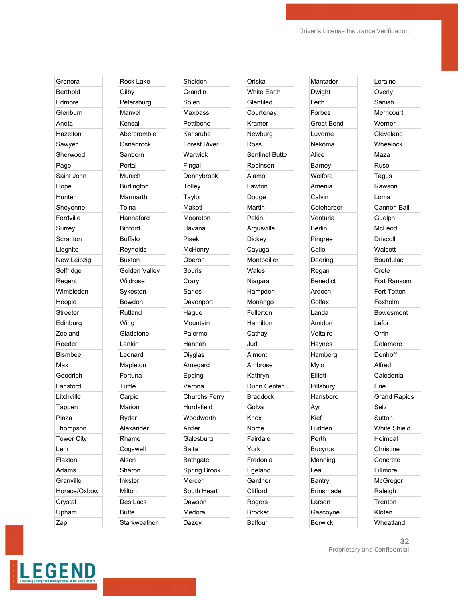Grenora Berthold Edmore **Glenburn** Aneta Hazelton Sawyer Sherwood Page Saint John Hope **Hunter** Sheyenne Fordville Surrey **Scranton** Lidgnite New Leipzig Selfridge Regent Wimbledon Hoople **Streeter** Edinburg Zeeland Reeder Bismbee Max Goodrich Lansford Litchville Tappen Plaza Thompson Tower City Lehr Flaxton Adams **Granville** Horace/Oxbow **Crystal** Upham Zap

Rock Lake **Gilby** Petersburg Manvel Kensal Abercrombie **Osnabrock** Sanborn Portal Munich **Burlington** Marmarth Tolna Hannaford Binford Buffalo Reynolds Buxton Golden Valley Wildrose Sykeston Bowdon Rutland Wing **Gladstone** Lankin Leonard Mapleton Fortuna **Tuttle** Carpio Marion Ryder Alexander Rhame Cogswell Alsen Sharon Inkster Milton Des Lacs Butte **Starkweather** 

Sheldon **Grandin** Solen Maxbass Pettibone Karlsruhe Forest River **Warwick** Fingal Donnybrook **Tolley** Taylor Makoti Mooreton Havana Pisek **McHenry** Oberon Souris **Crary** Sarles Davenport Hague Mountain Palermo Hannah Diyglas Arnegard Epping Verona Churchs Ferry Hurdsfield Woodworth Antler **Galesburg** Balta **Bathgate** Spring Brook **Mercer** South Heart Dawson Medora Dazey

Oriska White Earth Glenfiled **Courtenay** Kramer Newburg Ross Sentinel Butte Robinson Alamo Lawton Dodge Martin Pekin Argusville **Dickey** Cayuga **Montpeilier** Wales Niagara Hampden Monango Fullerton Hamilton **Cathay** Jud Almont Ambrose Kathryn Dunn Center Braddock Golva Knox Nome Fairdale York Fredonia Egeland **Gardner Clifford** Rogers Brocket Balfour

Mantador Dwight Leith Forbes Great Bend Luverne Nekoma Alice Barney Wolford Amenia Calvin **Coleharbor** Venturia Berlin Pingree Calio Deering Regan Benedict Ardoch Colfax Landa Amidon Voltaire Haynes Hamberg Mylo Elliott Pillsbury Hansboro Ayr Kief Ludden Perth Bucyrus Manning Leal **Bantry** Brinsmade Larson Gascoyne **Berwick** 

Loraine **Overly** Sanish Merricourt Werner Cleveland Wheelock Maza Ruso Tagus Rawson Loma Cannon Ball Guelph McLeod Driscoll **Walcott** Bourdulac Crete Fort Ransom Fort Totten Foxholm Bowesmont Lefor Orrin Delamere Denhoff Alfred Caledonia Erie Grand Rapids Selz **Sutton** White Shield Heimdal **Christine** Concrete Fillmore **McGregor** Raleigh **Trenton** Kloten **Wheatland** 



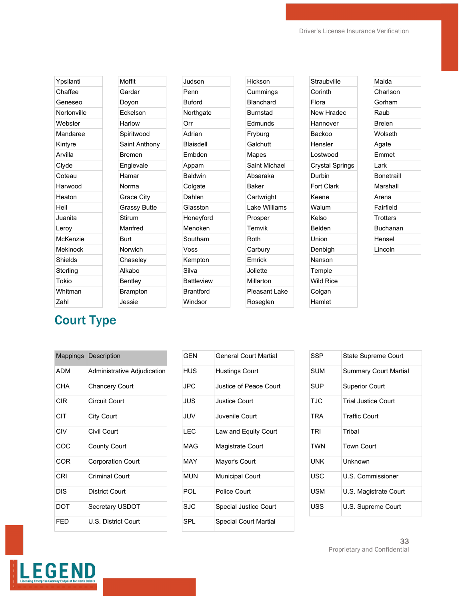| Ypsilanti   | Moffit              |
|-------------|---------------------|
| Chaffee     | Gardar              |
| Geneseo     | Doyon               |
| Nortonville | Eckelson            |
| Webster     | Harlow              |
| Mandaree    | Spiritwood          |
| Kintyre     | Saint Anthony       |
| Arvilla     | <b>Bremen</b>       |
| Clyde       | Englevale           |
| Coteau      | Hamar               |
| Harwood     | Norma               |
| Heaton      | <b>Grace City</b>   |
| Heil        | <b>Grassy Butte</b> |
| Juanita     | Stirum              |
| Leroy       | Manfred             |
| McKenzie    | <b>Burt</b>         |
| Mekinock    | Norwich             |
| Shields     | Chaseley            |
| Sterling    | Alkabo              |
| Tokio       | Bentley             |
| Whitman     | <b>Brampton</b>     |
| Zahl        | Jessie              |
|             |                     |

| Judson            |  |
|-------------------|--|
| Penn              |  |
| <b>Buford</b>     |  |
| Northgate         |  |
| Orr               |  |
| Adrian            |  |
| <b>Blaisdell</b>  |  |
| Embden            |  |
| Appam             |  |
| <b>Baldwin</b>    |  |
| Colgate           |  |
| Dahlen            |  |
| Glasston          |  |
| Honeyford         |  |
| Menoken           |  |
| Southam           |  |
| Voss              |  |
| Kempton           |  |
| Silva             |  |
| <b>Battleview</b> |  |
| Brantford         |  |
| Windsor           |  |

| Hickson         |
|-----------------|
| Cummings        |
| Blanchard       |
| <b>Burnstad</b> |
| Edmunds         |
| Fryburg         |
| Galchutt        |
| Mapes           |
| Saint Michael   |
| Absaraka        |
| <b>Baker</b>    |
| Cartwright      |
| Lake Williams   |
| Prosper         |
| Temvik          |
| Roth            |
| Carbury         |
| Emrick          |
| Joliette        |
| Millarton       |
| Pleasant Lake   |
| Roseglen        |
|                 |

# Court Type

|            | <b>Mappings Description</b> |
|------------|-----------------------------|
| <b>ADM</b> | Administrative Adjudication |
| CHA        | <b>Chancery Court</b>       |
| CIR        | <b>Circuit Court</b>        |
| CIT        | City Court                  |
| CIV        | Civil Court                 |
| COC        | <b>County Court</b>         |
| COR        | <b>Corporation Court</b>    |
| CRI        | <b>Criminal Court</b>       |
| DIS        | <b>District Court</b>       |
| DOT        | Secretary USDOT             |
| FFD        | U.S. District Court         |

| GFN        | <b>General Court Martial</b> |  |
|------------|------------------------------|--|
| <b>HUS</b> | Hustings Court               |  |
| JPC.       | Justice of Peace Court       |  |
| JUS        | <b>Justice Court</b>         |  |
| JUV.       | Juvenile Court               |  |
| LEC        | Law and Equity Court         |  |
| MAG        | Magistrate Court             |  |
| MAY        | Mayor's Court                |  |
| MI IN      | <b>Municipal Court</b>       |  |
| POL        | Police Court                 |  |
| SJC        | <b>Special Justice Court</b> |  |
| <b>SPL</b> | Special Court Martial        |  |

| <b>State Supreme Court</b>   |
|------------------------------|
| <b>Summary Court Martial</b> |
| <b>Superior Court</b>        |
| <b>Trial Justice Court</b>   |
| <b>Traffic Court</b>         |
| Tribal                       |
| <b>Town Court</b>            |
| Unknown                      |
| U.S. Commissioner            |
| U.S. Magistrate Court        |
| U.S. Supreme Court           |
|                              |

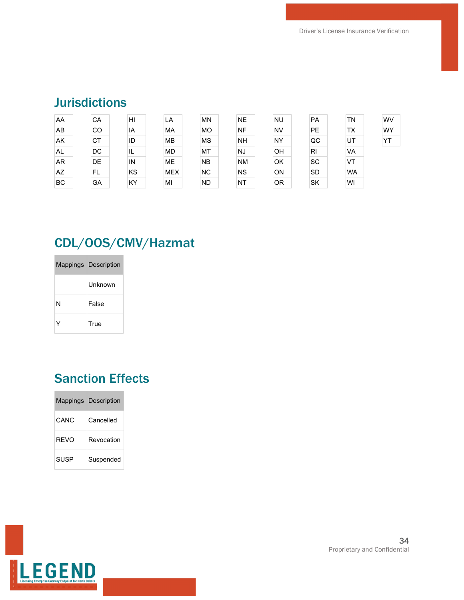### Jurisdictions

| AA        | CA | H <sub>l</sub> | LA         | <b>MN</b> | <b>NE</b> | <b>NU</b> | <b>PA</b>      | <b>TN</b> | <b>WV</b> |
|-----------|----|----------------|------------|-----------|-----------|-----------|----------------|-----------|-----------|
| AB        | CO | IA             | <b>MA</b>  | <b>MO</b> | <b>NF</b> | <b>NV</b> | <b>PE</b>      | TX        | WY        |
| AK        | CT | ID             | <b>MB</b>  | <b>MS</b> | <b>NH</b> | <b>NY</b> | QC             | UT        | YT        |
| AL        | DC | ΙL             | <b>MD</b>  | MT        | <b>NJ</b> | OH        | R <sub>l</sub> | VA        |           |
| <b>AR</b> | DE | IN             | <b>ME</b>  | <b>NB</b> | <b>NM</b> | OK        | <b>SC</b>      | VT        |           |
| AZ        | FL | KS             | <b>MEX</b> | <b>NC</b> | <b>NS</b> | ON        | <b>SD</b>      | <b>WA</b> |           |
| <b>BC</b> | GA | KY             | MI         | <b>ND</b> | NT        | <b>OR</b> | <b>SK</b>      | WI        |           |

# CDL/OOS/CMV/Hazmat

|   | Mappings Description |
|---|----------------------|
|   | l Inknown            |
| N | False                |
|   | True                 |

## Sanction Effects

|             | <b>Mappings Description</b> |
|-------------|-----------------------------|
| CANC        | Cancelled                   |
| RFVO        | Revocation                  |
| <b>SUSP</b> | Suspended                   |

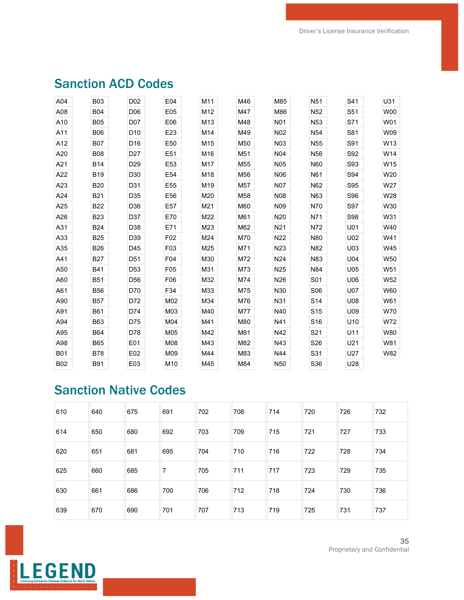| A04        | <b>B03</b> | D <sub>02</sub> | E04             | M11             | M46 | M85              | N <sub>51</sub> | S41        | U31             |
|------------|------------|-----------------|-----------------|-----------------|-----|------------------|-----------------|------------|-----------------|
| A08        | <b>B04</b> | D <sub>06</sub> | E05             | M12             | M47 | M86              | N <sub>52</sub> | S51        | <b>W00</b>      |
| A10        | <b>B05</b> | D07             | E06             | M <sub>13</sub> | M48 | <b>N01</b>       | N <sub>53</sub> | S71        | W01             |
| A11        | <b>B06</b> | D <sub>10</sub> | E23             | M14             | M49 | N02              | N54             | S81        | W09             |
| A12        | <b>B07</b> | D <sub>16</sub> | E50             | M15             | M50 | N <sub>0</sub> 3 | N <sub>55</sub> | S91        | W13             |
| A20        | <b>B08</b> | D <sub>27</sub> | E51             | M16             | M51 | N <sub>04</sub>  | N <sub>56</sub> | S92        | W14             |
| A21        | <b>B14</b> | D <sub>29</sub> | E53             | M17             | M55 | <b>N05</b>       | N60             | S93        | W15             |
| A22        | <b>B19</b> | D30             | E54             | M18             | M56 | N06              | N61             | S94        | W20             |
| A23        | <b>B20</b> | D31             | E55             | M19             | M57 | <b>N07</b>       | N62             | S95        | W27             |
| A24        | <b>B21</b> | D35             | E56             | M20             | M58 | <b>N08</b>       | N63             | S96        | W28             |
| A25        | <b>B22</b> | D36             | E57             | M21             | M60 | N <sub>09</sub>  | N70             | S97        | W30             |
| A26        | <b>B23</b> | D37             | E70             | M22             | M61 | N <sub>20</sub>  | N71             | S98        | W31             |
| A31        | <b>B24</b> | D38             | E71             | M23             | M62 | N21              | N72             | U01        | W40             |
| A33        | <b>B25</b> | D39             | F02             | M24             | M70 | N22              | N80             | U02        | W41             |
| A35        | <b>B26</b> | D45             | F03             | M25             | M71 | N <sub>23</sub>  | N82             | U03        | W45             |
| A41        | <b>B27</b> | D <sub>51</sub> | F04             | M30             | M72 | N <sub>24</sub>  | N83             | U04        | W50             |
| A50        | <b>B41</b> | D <sub>53</sub> | F <sub>05</sub> | M31             | M73 | N <sub>25</sub>  | N84             | U05        | W <sub>51</sub> |
| A60        | <b>B51</b> | D <sub>56</sub> | F06             | M32             | M74 | N <sub>26</sub>  | S01             | U06        | W52             |
| A61        | <b>B56</b> | D70             | F34             | M33             | M75 | N30              | S06             | <b>U07</b> | W60             |
| A90        | <b>B57</b> | D72             | M02             | M34             | M76 | N31              | S <sub>14</sub> | U08        | W61             |
| A91        | <b>B61</b> | D74             | M03             | M40             | M77 | N40              | S <sub>15</sub> | U09        | W70             |
| A94        | <b>B63</b> | D75             | M04             | M41             | M80 | N41              | S <sub>16</sub> | U10        | W72             |
| A95        | <b>B64</b> | D78             | M05             | M42             | M81 | N42              | S21             | U11        | W80             |
| A98        | <b>B65</b> | E01             | M08             | M43             | M82 | N43              | S26             | U21        | W81             |
| <b>B01</b> | <b>B78</b> | E02             | M09             | M44             | M83 | N44              | S31             | U27        | W82             |
| <b>B02</b> | <b>B91</b> | E03             | M10             | M45             | M84 | N <sub>50</sub>  | S36             | U28        |                 |

### Sanction ACD Codes

## Sanction Native Codes

| 610 | 640 | 675 | 691 | 702 | 708 | 714 | 720 | 726 | 732 |
|-----|-----|-----|-----|-----|-----|-----|-----|-----|-----|
| 614 | 650 | 680 | 692 | 703 | 709 | 715 | 721 | 727 | 733 |
| 620 | 651 | 681 | 695 | 704 | 710 | 716 | 722 | 728 | 734 |
| 625 | 660 | 685 | 7   | 705 | 711 | 717 | 723 | 729 | 735 |
| 630 | 661 | 686 | 700 | 706 | 712 | 718 | 724 | 730 | 736 |
| 639 | 670 | 690 | 701 | 707 | 713 | 719 | 725 | 731 | 737 |

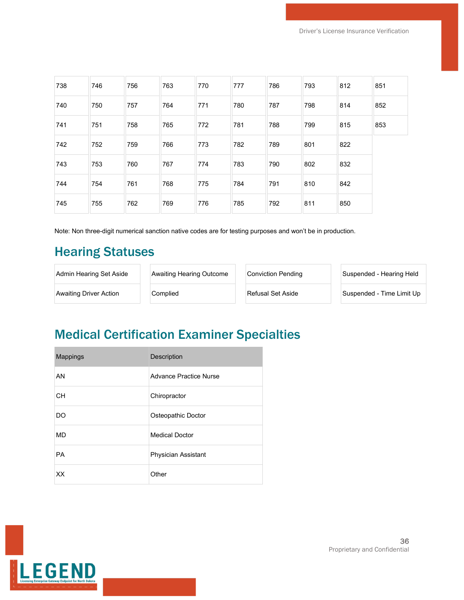| 738 | 746 | 756 | 763 | 770 | 777 | 786 | 793 | 812 | 851 |
|-----|-----|-----|-----|-----|-----|-----|-----|-----|-----|
| 740 | 750 | 757 | 764 | 771 | 780 | 787 | 798 | 814 | 852 |
| 741 | 751 | 758 | 765 | 772 | 781 | 788 | 799 | 815 | 853 |
| 742 | 752 | 759 | 766 | 773 | 782 | 789 | 801 | 822 |     |
| 743 | 753 | 760 | 767 | 774 | 783 | 790 | 802 | 832 |     |
| 744 | 754 | 761 | 768 | 775 | 784 | 791 | 810 | 842 |     |
| 745 | 755 | 762 | 769 | 776 | 785 | 792 | 811 | 850 |     |

Note: Non three-digit numerical sanction native codes are for testing purposes and won't be in production.

#### Hearing Statuses

| Admin Hearing Set Aside | Awaiting Hearing Outcome | Conviction Pendina | Suspended - Hearing Held  |
|-------------------------|--------------------------|--------------------|---------------------------|
| Awaiting Driver Action  | Complied                 | Refusal Set Aside  | Suspended - Time Limit Up |

## Medical Certification Examiner Specialties

| <b>Mappings</b> | Description            |
|-----------------|------------------------|
| AN              | Advance Practice Nurse |
| CН              | Chiropractor           |
| DO              | Osteopathic Doctor     |
| <b>MD</b>       | <b>Medical Doctor</b>  |
| <b>PA</b>       | Physician Assistant    |
| XX              | Other                  |

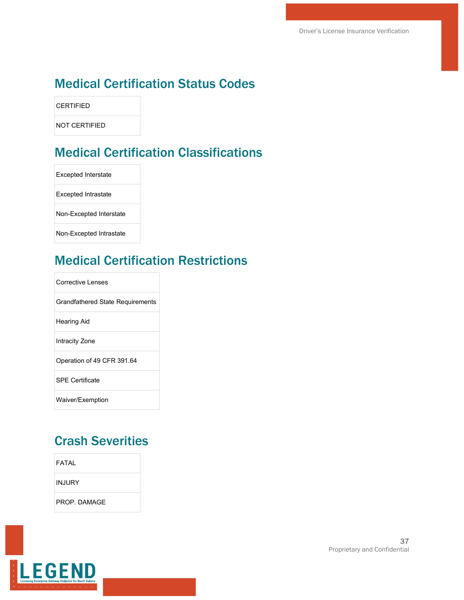#### Medical Certification Status Codes

**CERTIFIED** 

NOT CERTIFIED

## Medical Certification Classifications

Excepted Interstate Excepted Intrastate Non-Excepted Interstate Non-Excepted Intrastate

### Medical Certification Restrictions

| Corrective Lenses                       |
|-----------------------------------------|
| <b>Grandfathered State Requirements</b> |
| <b>Hearing Aid</b>                      |
| Intracity Zone                          |
| Operation of 49 CFR 391.64              |
| <b>SPF Certificate</b>                  |
| Waiver/Exemption                        |

#### Crash Severities

| FATAL  |
|--------|
| INJURY |

PROP. DAMAGE

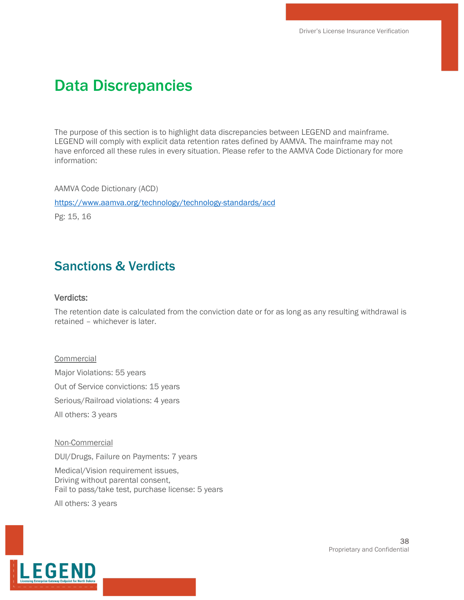# Data Discrepancies

The purpose of this section is to highlight data discrepancies between LEGEND and mainframe. LEGEND will comply with explicit data retention rates defined by AAMVA. The mainframe may not have enforced all these rules in every situation. Please refer to the AAMVA Code Dictionary for more information:

AAMVA Code Dictionary (ACD)

<https://www.aamva.org/technology/technology-standards/acd>

Pg: 15, 16

#### Sanctions & Verdicts

#### Verdicts:

The retention date is calculated from the conviction date or for as long as any resulting withdrawal is retained – whichever is later.

#### Commercial

Major Violations: 55 years Out of Service convictions: 15 years Serious/Railroad violations: 4 years All others: 3 years

#### Non-Commercial

DUI/Drugs, Failure on Payments: 7 years

Medical/Vision requirement issues, Driving without parental consent, Fail to pass/take test, purchase license: 5 years

All others: 3 years